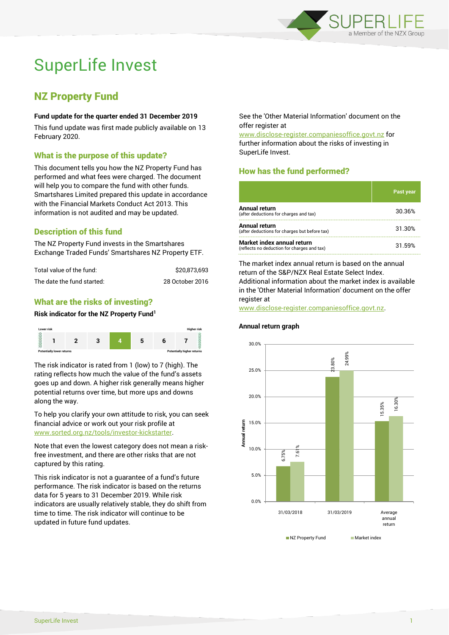

# SuperLife Invest

# NZ Property Fund

#### **Fund update for the quarter ended 31 December 2019**

This fund update was first made publicly available on 13 February 2020.

# What is the purpose of this update?

This document tells you how the NZ Property Fund has performed and what fees were charged. The document will help you to compare the fund with other funds. Smartshares Limited prepared this update in accordance with the Financial Markets Conduct Act 2013. This information is not audited and may be updated.

# Description of this fund

The NZ Property Fund invests in the Smartshares Exchange Traded Funds' Smartshares NZ Property ETF.

| Total value of the fund:   | \$20.873.693    |
|----------------------------|-----------------|
| The date the fund started: | 28 October 2016 |

# What are the risks of investing?

#### **Risk indicator for the NZ Property Fund<sup>1</sup>**



The risk indicator is rated from 1 (low) to 7 (high). The rating reflects how much the value of the fund's assets goes up and down. A higher risk generally means higher potential returns over time, but more ups and downs along the way.

To help you clarify your own attitude to risk, you can seek financial advice or work out your risk profile at [www.sorted.org.nz/tools/investor-kickstarter.](http://www.sorted.org.nz/tools/investor-kickstarter)

Note that even the lowest category does not mean a riskfree investment, and there are other risks that are not captured by this rating.

This risk indicator is not a guarantee of a fund's future performance. The risk indicator is based on the returns data for 5 years to 31 December 2019. While risk indicators are usually relatively stable, they do shift from time to time. The risk indicator will continue to be updated in future fund updates.

See the 'Other Material Information' document on the offer register at

www.disclose-register.companiesoffice.govt.nz for further information about the risks of investing in SuperLife Invest.

# How has the fund performed?

|                                                                           | Past year |
|---------------------------------------------------------------------------|-----------|
| Annual return<br>(after deductions for charges and tax)                   | 30.36%    |
| Annual return<br>(after deductions for charges but before tax)            | 31.30%    |
| Market index annual return<br>(reflects no deduction for charges and tax) | 31.59%    |

The market index annual return is based on the annual return of the S&P/NZX Real Estate Select Index. Additional information about the market index is available in the 'Other Material Information' document on the offer register at

www.disclose-register.companiesoffice.govt.nz.

#### **Annual return graph**

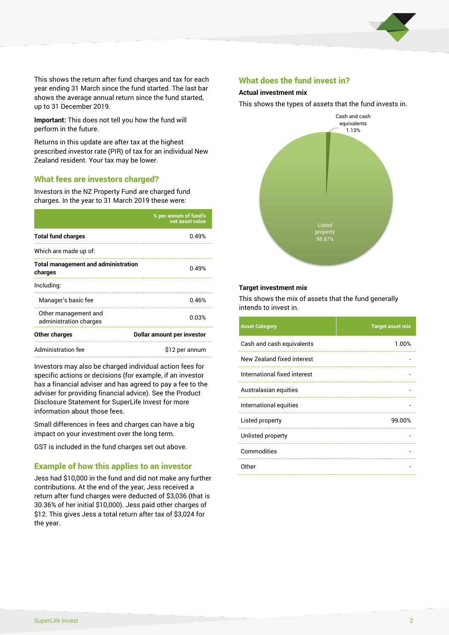

This shows the return after fund charges and tax for each year ending 31 March since the fund started. The last bar shows the average annual return since the fund started, up to 31 December 2019.

**Important:** This does not tell you how the fund will perform in the future.

Returns in this update are after tax at the highest prescribed investor rate (PIR) of tax for an individual New Zealand resident. Your tax may be lower.

### What fees are investors charged?

Investors in the NZ Property Fund are charged fund charges. In the year to 31 March 2019 these were:

|                                                       | % per annum of fund's<br>net asset value |  |
|-------------------------------------------------------|------------------------------------------|--|
| <b>Total fund charges</b>                             | በ 49%                                    |  |
| Which are made up of:                                 |                                          |  |
| <b>Total management and administration</b><br>charges | 0.49%                                    |  |
| Including:                                            |                                          |  |
| Manager's basic fee                                   | 0.46%                                    |  |
| Other management and<br>administration charges        | 0.03%                                    |  |
| Other charges                                         | Dollar amount per investor               |  |
| Administration fee                                    | \$12 per annum                           |  |

Investors may also be charged individual action fees for specific actions or decisions (for example, if an investor has a financial adviser and has agreed to pay a fee to the adviser for providing financial advice). See the Product Disclosure Statement for SuperLife Invest for more information about those fees.

Small differences in fees and charges can have a big impact on your investment over the long term.

GST is included in the fund charges set out above.

### Example of how this applies to an investor

Jess had \$10,000 in the fund and did not make any further contributions. At the end of the year, Jess received a return after fund charges were deducted of \$3,036 (that is 30.36% of her initial \$10,000). Jess paid other charges of \$12. This gives Jess a total return after tax of \$3,024 for the year.

#### What does the fund invest in?

#### **Actual investment mix**

This shows the types of assets that the fund invests in.



#### **Target investment mix**

This shows the mix of assets that the fund generally intends to invest in.

| <b>Asset Category</b>        | <b>Target asset mix</b> |
|------------------------------|-------------------------|
| Cash and cash equivalents    | 1.00%                   |
| New Zealand fixed interest   |                         |
| International fixed interest |                         |
| Australasian equities        |                         |
| International equities       |                         |
| Listed property              | 99.00%                  |
| Unlisted property            |                         |
| Commodities                  |                         |
| Other                        |                         |